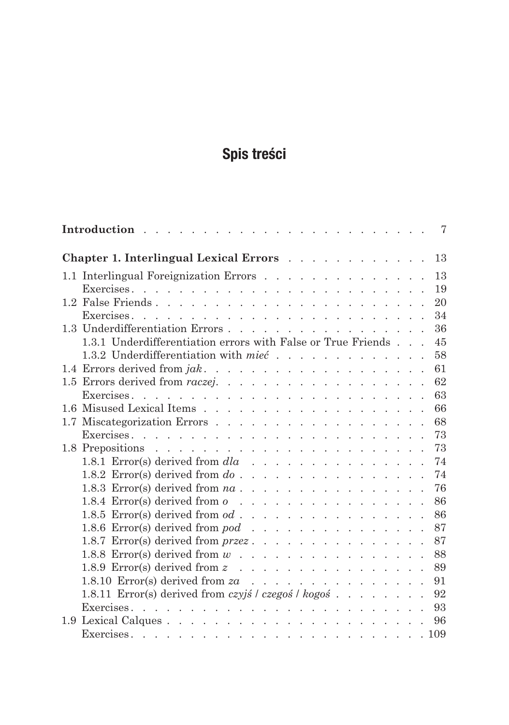## Spis treści

|                                                                                                                                              | 7  |
|----------------------------------------------------------------------------------------------------------------------------------------------|----|
| Chapter 1. Interlingual Lexical Errors                                                                                                       | 13 |
| 1.1 Interlingual Foreignization Errors                                                                                                       | 13 |
|                                                                                                                                              | 19 |
|                                                                                                                                              | 20 |
|                                                                                                                                              | 34 |
|                                                                                                                                              | 36 |
| 1.3.1 Underdifferentiation errors with False or True Friends                                                                                 | 45 |
| 1.3.2 Underdifferentiation with mieć                                                                                                         | 58 |
|                                                                                                                                              | 61 |
| 1.5 Errors derived from <i>raczej</i> .                                                                                                      | 62 |
|                                                                                                                                              | 63 |
|                                                                                                                                              | 66 |
|                                                                                                                                              | 68 |
|                                                                                                                                              | 73 |
|                                                                                                                                              | 73 |
| 1.8.1 Error(s) derived from $dla \dots \dots \dots \dots \dots \dots$                                                                        | 74 |
| 1.8.2 Error(s) derived from $do \cdot \cdot \cdot \cdot \cdot \cdot \cdot \cdot \cdot \cdot \cdot \cdot \cdot \cdot \cdot \cdot \cdot \cdot$ | 74 |
| 1.8.3 Error(s) derived from <i>na</i>                                                                                                        | 76 |
| 1.8.4 Error(s) derived from $o \dots$                                                                                                        | 86 |
| 1.8.5 Error(s) derived from $od \dots \dots \dots \dots \dots \dots$                                                                         | 86 |
| 1.8.6 Error(s) derived from <i>pod</i>                                                                                                       | 87 |
| 1.8.7 Error(s) derived from <i>przez</i>                                                                                                     | 87 |
| 1.8.8 Error(s) derived from $w$                                                                                                              | 88 |
| 1.8.9 Error(s) derived from $z \dots$                                                                                                        | 89 |
| 1.8.10 Error(s) derived from $za \dots \dots \dots \dots \dots \dots$                                                                        | 91 |
| 1.8.11 Error(s) derived from czyjś / czegoś / kogoś                                                                                          | 92 |
|                                                                                                                                              | 93 |
|                                                                                                                                              | 96 |
|                                                                                                                                              |    |